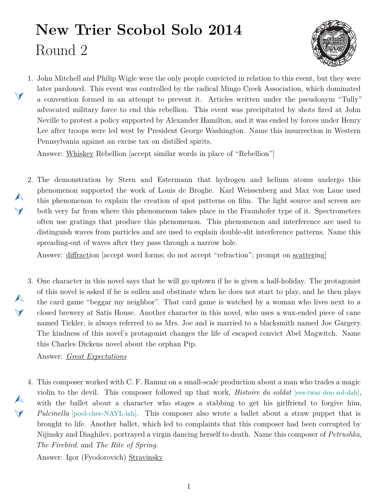## **New Trier Scobol Solo 2014** Round 2



<span id="page-0-1"></span>1. John Mitchell and Philip Wigle were the only people convicted in relation to this event, but they were later pardoned. This event was controlled by the radical Mingo Creek Association, which dominated a convention formed in an attempt to prevent it. Articles written under the pseudonym "Tully" advocated military force to end this rebellion. This event was precipitated by shots fired at John Neville to protest a policy supported by Alexander Hamilton, and it was ended by forces under Henry Lee after troops were led west by President George Washington. Name this insurrection in Western Pennsylvania against an excise tax on distilled spirits.

Answer: Whiskey Rebellion [accept similar words in place of "Rebellion"]

<span id="page-0-0"></span>2. The demonstration by Stern and Estermann that hydrogen and helium atoms undergo this phenomenon supported the work of Louis de Broglie. Karl Weissenberg and Max von Laue used this phenomenon to explain the creation of spot patterns on film. The light source and screen are both very far from where this phenomenon takes place in the Fraunhofer type of it. Spectrometers often use gratings that produce this phenomenon. This phenomenon and interference are used to distinguish waves from particles and are used to explain double-slit interference patterns. Name this spreading-out of waves after they pass through a narrow hole.

Answer: diffraction [accept word forms; do not accept "refraction"; prompt on scattering]

<span id="page-0-2"></span>3. One character in this novel says that he will go uptown if he is given a half-holiday. The protagonist of this novel is asked if he is sullen and obstinate when he does not start to play, and he then plays the card game "beggar my neighbor". That card game is watched by a woman who lives next to a closed brewery at Satis House. Another character in this novel, who uses a wax-ended piece of cane named Tickler, is always referred to as Mrs. Joe and is married to a blacksmith named Joe Gargery. The kindness of this novel's protagonist changes the life of escaped convict Abel Magwitch. Name this Charles Dickens novel about the orphan Pip.

Answer: *Great Expectations*

 $\blacktriangleleft$ 

 $\blacktriangle$ 

 $\blacktriangledown$ 

 $\blacktriangle$ 

 $\blacktriangledown$ 

 $\blacktriangle$ 

<span id="page-0-3"></span>4. This composer worked with C. F. Ramuz on a small-scale production about a man who trades a magic  $\blacktriangledown$ violin to the devil. This composer followed up that work, *Histoire du soldat* [ees-twar doo sol-dah], with the ballet about a character who stages a stabbing to get his girlfriend to forgive him, *Pulcinella* [pool-chee-NAYL-lah]. This composer also wrote a ballet about a straw puppet that is brought to life. Another ballet, which led to complaints that this composer had been corrupted by Nijinsky and Diaghilev, portrayed a virgin dancing herself to death. Name this composer of *Petrushka*, *The Firebird*, and *The Rite of Spring*.

Answer: Igor (Fyodorovich) Stravinsky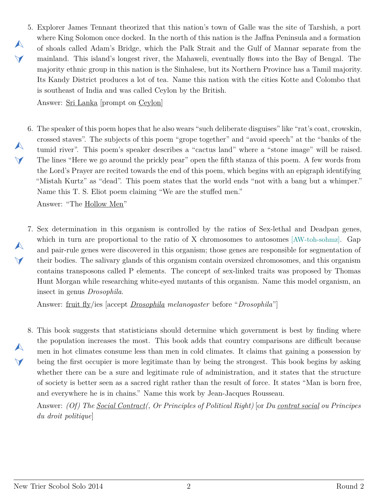<span id="page-1-0"></span>5. Explorer James Tennant theorized that this nation's town of Galle was the site of Tarshish, a port where King Solomon once docked. In the north of this nation is the Jaffna Peninsula and a formation of shoals called Adam's Bridge, which the Palk Strait and the Gulf of Mannar separate from the mainland. This island's longest river, the Mahaweli, eventually flows into the Bay of Bengal. The majority ethnic group in this nation is the Sinhalese, but its Northern Province has a Tamil majority. Its Kandy District produces a lot of tea. Name this nation with the cities Kotte and Colombo that is southeast of India and was called Ceylon by the British.

Answer: Sri Lanka [prompt on Ceylon]

 $\blacktriangle$ 

 $\blacktriangledown$ 

 $\blacktriangle$ 

 $\blacktriangledown$ 

 $\blacktriangle$ 

 $\blacktriangledown$ 

 $\blacktriangle$ 

 $\blacktriangledown$ 

<span id="page-1-1"></span>6. The speaker of this poem hopes that he also wears "such deliberate disguises" like "rat's coat, crowskin, crossed staves". The subjects of this poem "grope together" and "avoid speech" at the "banks of the tumid river". This poem's speaker describes a "cactus land" where a "stone image" will be raised. The lines "Here we go around the prickly pear" open the fifth stanza of this poem. A few words from the Lord's Prayer are recited towards the end of this poem, which begins with an epigraph identifying "Mistah Kurtz" as "dead". This poem states that the world ends "not with a bang but a whimper." Name this T. S. Eliot poem claiming "We are the stuffed men."

Answer: "The Hollow Men"

<span id="page-1-2"></span>7. Sex determination in this organism is controlled by the ratios of Sex-lethal and Deadpan genes, which in turn are proportional to the ratio of X chromosomes to autosomes [AW-toh-sohmz]. Gap and pair-rule genes were discovered in this organism; those genes are responsible for segmentation of their bodies. The salivary glands of this organism contain oversized chromosomes, and this organism contains transposons called P elements. The concept of sex-linked traits was proposed by Thomas Hunt Morgan while researching white-eyed mutants of this organism. Name this model organism, an insect in genus *Drosophila*.

Answer: fruit fly/ies [accept *Drosophila melanogaster* before "*Drosophila*"]

<span id="page-1-3"></span>8. This book suggests that statisticians should determine which government is best by finding where the population increases the most. This book adds that country comparisons are difficult because men in hot climates consume less than men in cold climates. It claims that gaining a possession by being the first occupier is more legitimate than by being the strongest. This book begins by asking whether there can be a sure and legitimate rule of administration, and it states that the structure of society is better seen as a sacred right rather than the result of force. It states "Man is born free, and everywhere he is in chains." Name this work by Jean-Jacques Rousseau.

Answer: *(Of) The Social Contract(, Or Principles of Political Right)* [or *Du contrat social ou Principes du droit politique*]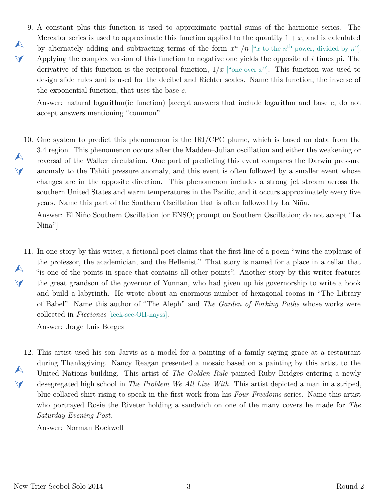<span id="page-2-0"></span>9. A constant plus this function is used to approximate partial sums of the harmonic series. The Mercator series is used to approximate this function applied to the quantity  $1 + x$ , and is calculated by alternately adding and subtracting terms of the form  $x^n/n$  ["x to the  $n^{\text{th}}$  power, divided by  $n$ "]. Applying the complex version of this function to negative one yields the opposite of *i* times pi. The derivative of this function is the reciprocal function,  $1/x$  ["one over x"]. This function was used to design slide rules and is used for the decibel and Richter scales. Name this function, the inverse of the exponential function, that uses the base *e*.

Answer: natural logarithm(ic function) [accept answers that include logarithm and base *e*; do not accept answers mentioning "common"]

<span id="page-2-1"></span>10. One system to predict this phenomenon is the IRI/CPC plume, which is based on data from the  $\blacktriangle$  $\vee$ 3.4 region. This phenomenon occurs after the Madden–Julian oscillation and either the weakening or reversal of the Walker circulation. One part of predicting this event compares the Darwin pressure anomaly to the Tahiti pressure anomaly, and this event is often followed by a smaller event whose changes are in the opposite direction. This phenomenon includes a strong jet stream across the southern United States and warm temperatures in the Pacific, and it occurs approximately every five years. Name this part of the Southern Oscillation that is often followed by La Niña.

Answer: El Niño Southern Oscillation [or ENSO; prompt on Southern Oscillation; do not accept "La Niña"]

<span id="page-2-2"></span>11. In one story by this writer, a fictional poet claims that the first line of a poem "wins the applause of  $\blacktriangle$  $\blacktriangleleft$ the professor, the academician, and the Hellenist." That story is named for a place in a cellar that "is one of the points in space that contains all other points". Another story by this writer features the great grandson of the governor of Yunnan, who had given up his governorship to write a book and build a labyrinth. He wrote about an enormous number of hexagonal rooms in "The Library of Babel". Name this author of "The Aleph" and *The Garden of Forking Paths* whose works were collected in *Ficciones* [feek-see-OH-nayss].

Answer: Jorge Luis Borges

 $\blacktriangle$ 

 $\blacktriangledown$ 

<span id="page-2-3"></span>12. This artist used his son Jarvis as a model for a painting of a family saying grace at a restaurant  $\blacktriangle$  $\Delta$ during Thanksgiving. Nancy Reagan presented a mosaic based on a painting by this artist to the United Nations building. This artist of *The Golden Rule* painted Ruby Bridges entering a newly desegregated high school in *The Problem We All Live With*. This artist depicted a man in a striped, blue-collared shirt rising to speak in the first work from his *Four Freedoms* series. Name this artist who portrayed Rosie the Riveter holding a sandwich on one of the many covers he made for *The Saturday Evening Post*.

Answer: Norman Rockwell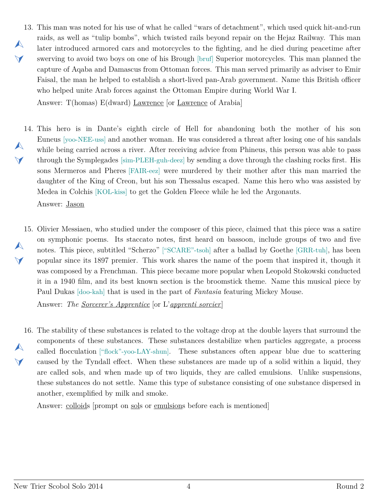<span id="page-3-0"></span>13. This man was noted for his use of what he called "wars of detachment", which used quick hit-and-run  $\blacktriangle$  $\vee$ raids, as well as "tulip bombs", which twisted rails beyond repair on the Hejaz Railway. This man later introduced armored cars and motorcycles to the fighting, and he died during peacetime after swerving to avoid two boys on one of his Brough [bruf] Superior motorcycles. This man planned the capture of Aqaba and Damascus from Ottoman forces. This man served primarily as adviser to Emir Faisal, the man he helped to establish a short-lived pan-Arab government. Name this British officer who helped unite Arab forces against the Ottoman Empire during World War I.

Answer: T(homas) E(dward) Lawrence [or Lawrence of Arabia]

- <span id="page-3-1"></span>14. This hero is in Dante's eighth circle of Hell for abandoning both the mother of his son  $\blacktriangle$  $\vee$ Euneus [yoo-NEE-uss] and another woman. He was considered a threat after losing one of his sandals while being carried across a river. After receiving advice from Phineus, this person was able to pass through the Symplegades [sim-PLEH-guh-deez] by sending a dove through the clashing rocks first. His sons Mermeros and Pheres [FAIR-eez] were murdered by their mother after this man married the daughter of the King of Creon, but his son Thessalus escaped. Name this hero who was assisted by Medea in Colchis [KOL-kiss] to get the Golden Fleece while he led the Argonauts. Answer: Jason
- <span id="page-3-2"></span>15. Olivier Messiaen, who studied under the composer of this piece, claimed that this piece was a satire  $\blacktriangle$  $\blacktriangledown$ on symphonic poems. Its staccato notes, first heard on bassoon, include groups of two and five notes. This piece, subtitled "Scherzo" ["SCARE"-tsoh] after a ballad by Goethe [GRR-tuh], has been popular since its 1897 premier. This work shares the name of the poem that inspired it, though it was composed by a Frenchman. This piece became more popular when Leopold Stokowski conducted it in a 1940 film, and its best known section is the broomstick theme. Name this musical piece by Paul Dukas [doo-kah] that is used in the part of *Fantasia* featuring Mickey Mouse.

Answer: *The Sorcerer's Apprentice* [or L'*apprenti sorcier*]

<span id="page-3-3"></span>16. The stability of these substances is related to the voltage drop at the double layers that surround the  $\blacktriangle$  $\blacktriangledown$ components of these substances. These substances destabilize when particles aggregate, a process called flocculation ["flock"-yoo-LAY-shun]. These substances often appear blue due to scattering caused by the Tyndall effect. When these substances are made up of a solid within a liquid, they are called sols, and when made up of two liquids, they are called emulsions. Unlike suspensions, these substances do not settle. Name this type of substance consisting of one substance dispersed in another, exemplified by milk and smoke.

Answer: colloids [prompt on sols or emulsions before each is mentioned]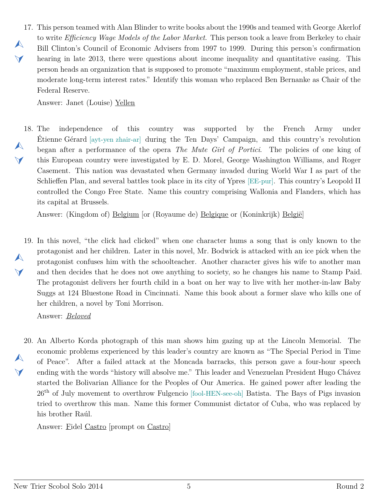<span id="page-4-0"></span>17. This person teamed with Alan Blinder to write books about the 1990s and teamed with George Akerlof  $\blacktriangle$  $\vee$ to write *Efficiency Wage Models of the Labor Market*. This person took a leave from Berkeley to chair Bill Clinton's Council of Economic Advisers from 1997 to 1999. During this person's confirmation hearing in late 2013, there were questions about income inequality and quantitative easing. This person heads an organization that is supposed to promote "maximum employment, stable prices, and moderate long-term interest rates." Identify this woman who replaced Ben Bernanke as Chair of the Federal Reserve.

Answer: Janet (Louise) Yellen

<span id="page-4-1"></span>18.  $\blacktriangle$  $\vee$ independence of this country was supported by the French Army under Étienne Gérard [ayt-yen zhair-ar] during the Ten Days' Campaign, and this country's revolution began after a performance of the opera *The Mute Girl of Portici*. The policies of one king of this European country were investigated by E. D. Morel, George Washington Williams, and Roger Casement. This nation was devastated when Germany invaded during World War I as part of the Schlieffen Plan, and several battles took place in its city of Ypres [EE-pur]. This country's Leopold II controlled the Congo Free State. Name this country comprising Wallonia and Flanders, which has its capital at Brussels.

Answer: (Kingdom of) Belgium [or (Royaume de) Belgique or (Koninkrijk) België]

<span id="page-4-2"></span>19. In this novel, "the click had clicked" when one character hums a song that is only known to the  $\blacktriangle$  $\blacktriangledown$ protagonist and her children. Later in this novel, Mr. Bodwick is attacked with an ice pick when the protagonist confuses him with the schoolteacher. Another character gives his wife to another man and then decides that he does not owe anything to society, so he changes his name to Stamp Paid. The protagonist delivers her fourth child in a boat on her way to live with her mother-in-law Baby Suggs at 124 Bluestone Road in Cincinnati. Name this book about a former slave who kills one of her children, a novel by Toni Morrison.

Answer: *Beloved*

<span id="page-4-3"></span>20. An Alberto Korda photograph of this man shows him gazing up at the Lincoln Memorial. The  $\blacktriangle$  $\blacktriangledown$ economic problems experienced by this leader's country are known as "The Special Period in Time of Peace". After a failed attack at the Moncada barracks, this person gave a four-hour speech ending with the words "history will absolve me." This leader and Venezuelan President Hugo Chávez started the Bolivarian Alliance for the Peoples of Our America. He gained power after leading the 26th of July movement to overthrow Fulgencio [fool-HEN-see-oh] Batista. The Bays of Pigs invasion tried to overthrow this man. Name this former Communist dictator of Cuba, who was replaced by his brother Raúl.

Answer: Fidel Castro [prompt on Castro]